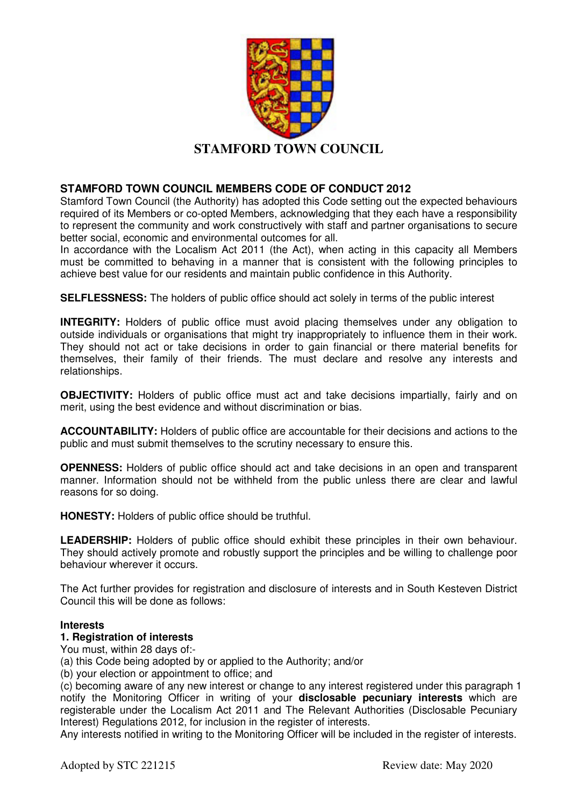

### **STAMFORD TOWN COUNCIL MEMBERS CODE OF CONDUCT 2012**

Stamford Town Council (the Authority) has adopted this Code setting out the expected behaviours required of its Members or co-opted Members, acknowledging that they each have a responsibility to represent the community and work constructively with staff and partner organisations to secure better social, economic and environmental outcomes for all.

In accordance with the Localism Act 2011 (the Act), when acting in this capacity all Members must be committed to behaving in a manner that is consistent with the following principles to achieve best value for our residents and maintain public confidence in this Authority.

**SELFLESSNESS:** The holders of public office should act solely in terms of the public interest

**INTEGRITY:** Holders of public office must avoid placing themselves under any obligation to outside individuals or organisations that might try inappropriately to influence them in their work. They should not act or take decisions in order to gain financial or there material benefits for themselves, their family of their friends. The must declare and resolve any interests and relationships.

**OBJECTIVITY:** Holders of public office must act and take decisions impartially, fairly and on merit, using the best evidence and without discrimination or bias.

**ACCOUNTABILITY:** Holders of public office are accountable for their decisions and actions to the public and must submit themselves to the scrutiny necessary to ensure this.

**OPENNESS:** Holders of public office should act and take decisions in an open and transparent manner. Information should not be withheld from the public unless there are clear and lawful reasons for so doing.

**HONESTY:** Holders of public office should be truthful.

**LEADERSHIP:** Holders of public office should exhibit these principles in their own behaviour. They should actively promote and robustly support the principles and be willing to challenge poor behaviour wherever it occurs.

The Act further provides for registration and disclosure of interests and in South Kesteven District Council this will be done as follows:

#### **Interests**

## **1. Registration of interests**

You must, within 28 days of:-

(a) this Code being adopted by or applied to the Authority; and/or

(b) your election or appointment to office; and

(c) becoming aware of any new interest or change to any interest registered under this paragraph 1 notify the Monitoring Officer in writing of your **disclosable pecuniary interests** which are registerable under the Localism Act 2011 and The Relevant Authorities (Disclosable Pecuniary Interest) Regulations 2012, for inclusion in the register of interests.

Any interests notified in writing to the Monitoring Officer will be included in the register of interests.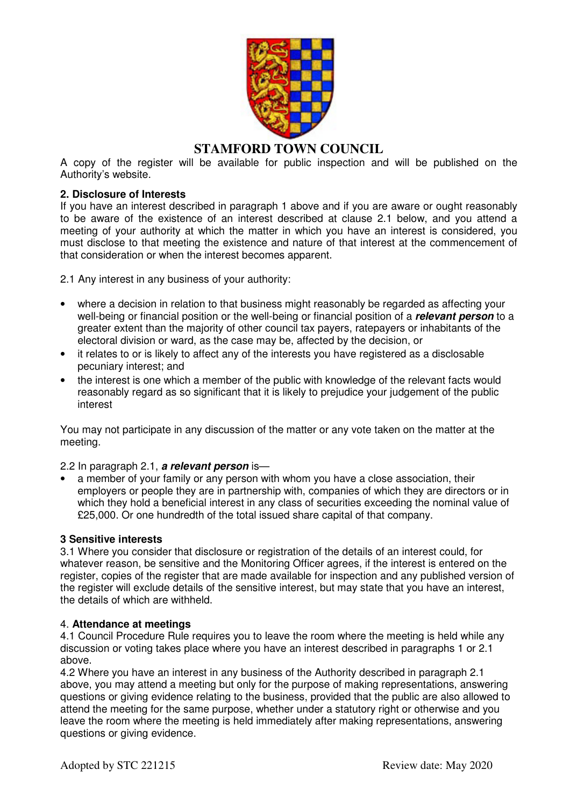

# **STAMFORD TOWN COUNCIL**

A copy of the register will be available for public inspection and will be published on the Authority's website.

### **2. Disclosure of Interests**

If you have an interest described in paragraph 1 above and if you are aware or ought reasonably to be aware of the existence of an interest described at clause 2.1 below, and you attend a meeting of your authority at which the matter in which you have an interest is considered, you must disclose to that meeting the existence and nature of that interest at the commencement of that consideration or when the interest becomes apparent.

2.1 Any interest in any business of your authority:

- where a decision in relation to that business might reasonably be regarded as affecting your well-being or financial position or the well-being or financial position of a **relevant person** to a greater extent than the majority of other council tax payers, ratepayers or inhabitants of the electoral division or ward, as the case may be, affected by the decision, or
- it relates to or is likely to affect any of the interests you have registered as a disclosable pecuniary interest; and
- the interest is one which a member of the public with knowledge of the relevant facts would reasonably regard as so significant that it is likely to prejudice your judgement of the public interest

You may not participate in any discussion of the matter or any vote taken on the matter at the meeting.

2.2 In paragraph 2.1, **a relevant person** is—

• a member of your family or any person with whom you have a close association, their employers or people they are in partnership with, companies of which they are directors or in which they hold a beneficial interest in any class of securities exceeding the nominal value of £25,000. Or one hundredth of the total issued share capital of that company.

#### **3 Sensitive interests**

3.1 Where you consider that disclosure or registration of the details of an interest could, for whatever reason, be sensitive and the Monitoring Officer agrees, if the interest is entered on the register, copies of the register that are made available for inspection and any published version of the register will exclude details of the sensitive interest, but may state that you have an interest, the details of which are withheld.

#### 4. **Attendance at meetings**

4.1 Council Procedure Rule requires you to leave the room where the meeting is held while any discussion or voting takes place where you have an interest described in paragraphs 1 or 2.1 above.

4.2 Where you have an interest in any business of the Authority described in paragraph 2.1 above, you may attend a meeting but only for the purpose of making representations, answering questions or giving evidence relating to the business, provided that the public are also allowed to attend the meeting for the same purpose, whether under a statutory right or otherwise and you leave the room where the meeting is held immediately after making representations, answering questions or giving evidence.